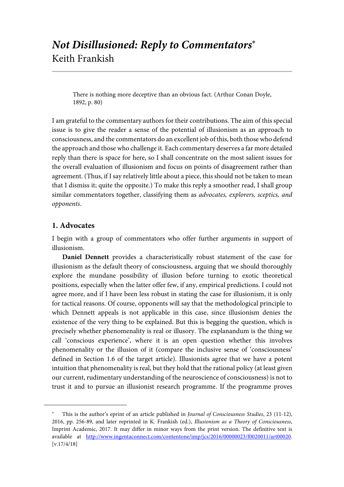There is nothing more deceptive than an obvious fact. (Arthur Conan Doyle, 1892, p. 80)

I am grateful to the commentary authors for their contributions. The aim of this special issue is to give the reader a sense of the potential of illusionism as an approach to consciousness, and the commentators do an excellent job of this, both those who defend the approach and those who challenge it. Each commentary deserves a far more detailed reply than there is space for here, so I shall concentrate on the most salient issues for the overall evaluation of illusionism and focus on points of disagreement rather than agreement. (Thus, if I say relatively little about a piece, this should not be taken to mean that I dismiss it; quite the opposite.) To make this reply a smoother read, I shall group similar commentators together, classifying them as *advocates, explorers, sceptics, and opponents*.

## **1. Advocates**

-

I begin with a group of commentators who offer further arguments in support of illusionism.

 **Daniel Dennett** provides a characteristically robust statement of the case for illusionism as the default theory of consciousness, arguing that we should thoroughly explore the mundane possibility of illusion before turning to exotic theoretical positions, especially when the latter offer few, if any, empirical predictions. I could not agree more, and if I have been less robust in stating the case for illusionism, it is only for tactical reasons. Of course, opponents will say that the methodological principle to which Dennett appeals is not applicable in this case, since illusionism denies the existence of the very thing to be explained. But this is begging the question, which is precisely whether phenomenality is real or illusory. The explanandum is the thing we call 'conscious experience', where it is an open question whether this involves phenomenality or the illusion of it (compare the inclusive sense of 'consciousness' defined in Section 1.6 of the target article). Illusionists agree that we have a potent intuition that phenomenality is real, but they hold that the rational policy (at least given our current, rudimentary understanding of the neuroscience of consciousness) is not to trust it and to pursue an illusionist research programme. If the programme proves

<sup>×</sup>  This is the author's eprint of an article published in *Journal of Consciousness Studies*, 23 (11-12), 2016, pp. 256-89, and later reprinted in K. Frankish (ed.), *Illusionism as a Theory of Consciousness*, Imprint Academic, 2017. It may differ in minor ways from the print version. The definitive text is available at http://www.ingentaconnect.com/contentone/imp/jcs/2016/00000023/f0020011/art00020. [v.17/4/18]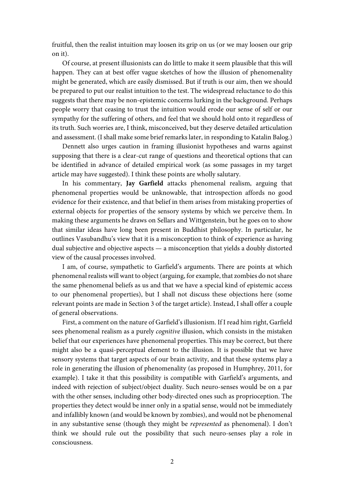fruitful, then the realist intuition may loosen its grip on us (or we may loosen our grip on it).

 Of course, at present illusionists can do little to make it seem plausible that this will happen. They can at best offer vague sketches of how the illusion of phenomenality might be generated, which are easily dismissed. But if truth is our aim, then we should be prepared to put our realist intuition to the test. The widespread reluctance to do this suggests that there may be non-epistemic concerns lurking in the background. Perhaps people worry that ceasing to trust the intuition would erode our sense of self or our sympathy for the suffering of others, and feel that we should hold onto it regardless of its truth. Such worries are, I think, misconceived, but they deserve detailed articulation and assessment. (I shall make some brief remarks later, in responding to Katalin Balog.)

 Dennett also urges caution in framing illusionist hypotheses and warns against supposing that there is a clear-cut range of questions and theoretical options that can be identified in advance of detailed empirical work (as some passages in my target article may have suggested). I think these points are wholly salutary.

 In his commentary, **Jay Garfield** attacks phenomenal realism, arguing that phenomenal properties would be unknowable, that introspection affords no good evidence for their existence, and that belief in them arises from mistaking properties of external objects for properties of the sensory systems by which we perceive them. In making these arguments he draws on Sellars and Wittgenstein, but he goes on to show that similar ideas have long been present in Buddhist philosophy. In particular, he outlines Vasubandhu's view that it is a misconception to think of experience as having dual subjective and objective aspects — a misconception that yields a doubly distorted view of the causal processes involved.

 I am, of course, sympathetic to Garfield's arguments. There are points at which phenomenal realists will want to object (arguing, for example, that zombies do not share the same phenomenal beliefs as us and that we have a special kind of epistemic access to our phenomenal properties), but I shall not discuss these objections here (some relevant points are made in Section 3 of the target article). Instead, I shall offer a couple of general observations.

 First, a comment on the nature of Garfield's illusionism. If I read him right, Garfield sees phenomenal realism as a purely *cognitive* illusion, which consists in the mistaken belief that our experiences have phenomenal properties. This may be correct, but there might also be a quasi-perceptual element to the illusion. It is possible that we have sensory systems that target aspects of our brain activity, and that these systems play a role in generating the illusion of phenomenality (as proposed in Humphrey, 2011, for example). I take it that this possibility is compatible with Garfield's arguments, and indeed with rejection of subject/object duality. Such neuro-senses would be on a par with the other senses, including other body-directed ones such as proprioception. The properties they detect would be inner only in a spatial sense, would not be immediately and infallibly known (and would be known by zombies), and would not be phenomenal in any substantive sense (though they might be *represented* as phenomenal). I don't think we should rule out the possibility that such neuro-senses play a role in consciousness.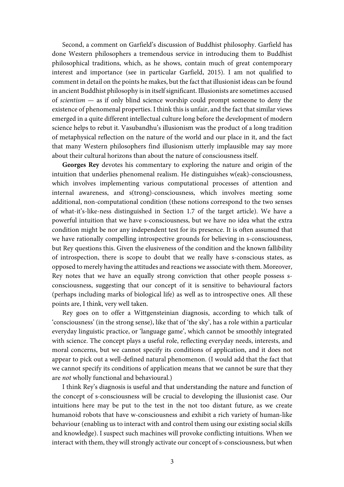Second, a comment on Garfield's discussion of Buddhist philosophy. Garfield has done Western philosophers a tremendous service in introducing them to Buddhist philosophical traditions, which, as he shows, contain much of great contemporary interest and importance (see in particular Garfield, 2015). I am not qualified to comment in detail on the points he makes, but the fact that illusionist ideas can be found in ancient Buddhist philosophy is in itself significant. Illusionists are sometimes accused of *scientism* — as if only blind science worship could prompt someone to deny the existence of phenomenal properties. I think this is unfair, and the fact that similar views emerged in a quite different intellectual culture long before the development of modern science helps to rebut it. Vasubandhu's illusionism was the product of a long tradition of metaphysical reflection on the nature of the world and our place in it, and the fact that many Western philosophers find illusionism utterly implausible may say more about their cultural horizons than about the nature of consciousness itself.

 **Georges Rey** devotes his commentary to exploring the nature and origin of the intuition that underlies phenomenal realism. He distinguishes w(eak)-consciousness, which involves implementing various computational processes of attention and internal awareness, and s(trong)-consciousness, which involves meeting some additional, non-computational condition (these notions correspond to the two senses of what-it's-like-ness distinguished in Section 1.7 of the target article). We have a powerful intuition that we have s-consciousness, but we have no idea what the extra condition might be nor any independent test for its presence. It is often assumed that we have rationally compelling introspective grounds for believing in s-consciousness, but Rey questions this. Given the elusiveness of the condition and the known fallibility of introspection, there is scope to doubt that we really have s-conscious states, as opposed to merely having the attitudes and reactions we associate with them. Moreover, Rey notes that we have an equally strong conviction that other people possess sconsciousness, suggesting that our concept of it is sensitive to behavioural factors (perhaps including marks of biological life) as well as to introspective ones. All these points are, I think, very well taken.

 Rey goes on to offer a Wittgensteinian diagnosis, according to which talk of 'consciousness' (in the strong sense), like that of 'the sky', has a role within a particular everyday linguistic practice, or 'language game', which cannot be smoothly integrated with science. The concept plays a useful role, reflecting everyday needs, interests, and moral concerns, but we cannot specify its conditions of application, and it does not appear to pick out a well-defined natural phenomenon. (I would add that the fact that we cannot specify its conditions of application means that we cannot be sure that they are *not* wholly functional and behavioural.)

 I think Rey's diagnosis is useful and that understanding the nature and function of the concept of s-consciousness will be crucial to developing the illusionist case. Our intuitions here may be put to the test in the not too distant future, as we create humanoid robots that have w-consciousness and exhibit a rich variety of human-like behaviour (enabling us to interact with and control them using our existing social skills and knowledge). I suspect such machines will provoke conflicting intuitions. When we interact with them, they will strongly activate our concept of s-consciousness, but when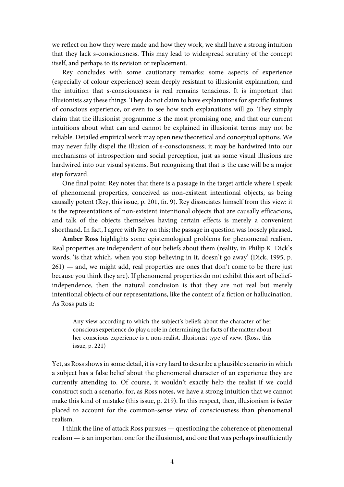we reflect on how they were made and how they work, we shall have a strong intuition that they lack s-consciousness. This may lead to widespread scrutiny of the concept itself, and perhaps to its revision or replacement.

 Rey concludes with some cautionary remarks: some aspects of experience (especially of colour experience) seem deeply resistant to illusionist explanation, and the intuition that s-consciousness is real remains tenacious. It is important that illusionists say these things. They do not claim to have explanations for specific features of conscious experience, or even to see how such explanations will go. They simply claim that the illusionist programme is the most promising one, and that our current intuitions about what can and cannot be explained in illusionist terms may not be reliable. Detailed empirical work may open new theoretical and conceptual options. We may never fully dispel the illusion of s-consciousness; it may be hardwired into our mechanisms of introspection and social perception, just as some visual illusions are hardwired into our visual systems. But recognizing that that is the case will be a major step forward.

 One final point: Rey notes that there is a passage in the target article where I speak of phenomenal properties, conceived as non-existent intentional objects, as being causally potent (Rey, this issue, p. 201, fn. 9). Rey dissociates himself from this view: it is the representations of non-existent intentional objects that are causally efficacious, and talk of the objects themselves having certain effects is merely a convenient shorthand. In fact, I agree with Rey on this; the passage in question was loosely phrased.

 **Amber Ross** highlights some epistemological problems for phenomenal realism. Real properties are independent of our beliefs about them (reality, in Philip K. Dick's words, 'is that which, when you stop believing in it, doesn't go away' (Dick, 1995, p. 261) — and, we might add, real properties are ones that don't come to be there just because you think they are). If phenomenal properties do not exhibit this sort of beliefindependence, then the natural conclusion is that they are not real but merely intentional objects of our representations, like the content of a fiction or hallucination. As Ross puts it:

Any view according to which the subject's beliefs about the character of her conscious experience do play a role in determining the facts of the matter about her conscious experience is a non-realist, illusionist type of view. (Ross, this issue, p. 221)

Yet, as Ross shows in some detail, it is very hard to describe a plausible scenario in which a subject has a false belief about the phenomenal character of an experience they are currently attending to. Of course, it wouldn't exactly help the realist if we could construct such a scenario; for, as Ross notes, we have a strong intuition that we cannot make this kind of mistake (this issue, p. 219). In this respect, then, illusionism is *better* placed to account for the common-sense view of consciousness than phenomenal realism.

 I think the line of attack Ross pursues — questioning the coherence of phenomenal realism — is an important one for the illusionist, and one that was perhaps insufficiently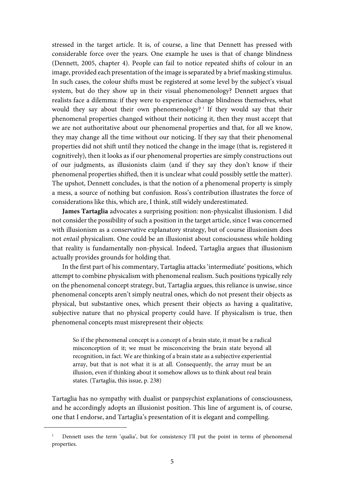stressed in the target article. It is, of course, a line that Dennett has pressed with considerable force over the years. One example he uses is that of change blindness (Dennett, 2005, chapter 4). People can fail to notice repeated shifts of colour in an image, provided each presentation of the image is separated by a brief masking stimulus. In such cases, the colour shifts must be registered at some level by the subject's visual system, but do they show up in their visual phenomenology? Dennett argues that realists face a dilemma: if they were to experience change blindness themselves, what would they say about their own phenomenology?<sup>1</sup> If they would say that their phenomenal properties changed without their noticing it, then they must accept that we are not authoritative about our phenomenal properties and that, for all we know, they may change all the time without our noticing. If they say that their phenomenal properties did not shift until they noticed the change in the image (that is, registered it cognitively), then it looks as if our phenomenal properties are simply constructions out of our judgments, as illusionists claim (and if they say they don't know if their phenomenal properties shifted, then it is unclear what could possibly settle the matter). The upshot, Dennett concludes, is that the notion of a phenomenal property is simply a mess, a source of nothing but confusion. Ross's contribution illustrates the force of considerations like this, which are, I think, still widely underestimated.

 **James Tartaglia** advocates a surprising position: non-physicalist illusionism. I did not consider the possibility of such a position in the target article, since I was concerned with illusionism as a conservative explanatory strategy, but of course illusionism does not *entail* physicalism. One could be an illusionist about consciousness while holding that reality is fundamentally non-physical. Indeed, Tartaglia argues that illusionism actually provides grounds for holding that.

 In the first part of his commentary, Tartaglia attacks 'intermediate' positions, which attempt to combine physicalism with phenomenal realism. Such positions typically rely on the phenomenal concept strategy, but, Tartaglia argues, this reliance is unwise, since phenomenal concepts aren't simply neutral ones, which do not present their objects as physical, but substantive ones, which present their objects as having a qualitative, subjective nature that no physical property could have. If physicalism is true, then phenomenal concepts must misrepresent their objects:

So if the phenomenal concept is a concept of a brain state, it must be a radical misconception of it; we must be misconceiving the brain state beyond all recognition, in fact. We are thinking of a brain state as a subjective experiential array, but that is not what it is at all. Consequently, the array must be an illusion, even if thinking about it somehow allows us to think about real brain states. (Tartaglia, this issue, p. 238)

Tartaglia has no sympathy with dualist or panpsychist explanations of consciousness, and he accordingly adopts an illusionist position. This line of argument is, of course, one that I endorse, and Tartaglia's presentation of it is elegant and compelling.

<sup>&</sup>lt;sup>1</sup> Dennett uses the term 'qualia', but for consistency I'll put the point in terms of phenomenal properties.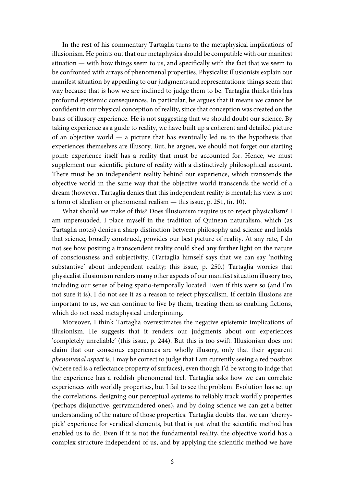In the rest of his commentary Tartaglia turns to the metaphysical implications of illusionism. He points out that our metaphysics should be compatible with our manifest situation — with how things seem to us, and specifically with the fact that we seem to be confronted with arrays of phenomenal properties. Physicalist illusionists explain our manifest situation by appealing to our judgments and representations: things seem that way because that is how we are inclined to judge them to be. Tartaglia thinks this has profound epistemic consequences. In particular, he argues that it means we cannot be confident in our physical conception of reality, since that conception was created on the basis of illusory experience. He is not suggesting that we should doubt our science. By taking experience as a guide to reality, we have built up a coherent and detailed picture of an objective world — a picture that has eventually led us to the hypothesis that experiences themselves are illusory. But, he argues, we should not forget our starting point: experience itself has a reality that must be accounted for. Hence, we must supplement our scientific picture of reality with a distinctively philosophical account. There must be an independent reality behind our experience, which transcends the objective world in the same way that the objective world transcends the world of a dream (however, Tartaglia denies that this independent reality is mental; his view is not a form of idealism or phenomenal realism — this issue, p. 251, fn. 10).

 What should we make of this? Does illusionism require us to reject physicalism? I am unpersuaded. I place myself in the tradition of Quinean naturalism, which (as Tartaglia notes) denies a sharp distinction between philosophy and science and holds that science, broadly construed, provides our best picture of reality. At any rate, I do not see how positing a transcendent reality could shed any further light on the nature of consciousness and subjectivity. (Tartaglia himself says that we can say 'nothing substantive' about independent reality; this issue, p. 250.) Tartaglia worries that physicalist illusionism renders many other aspects of our manifest situation illusory too, including our sense of being spatio-temporally located. Even if this were so (and I'm not sure it is), I do not see it as a reason to reject physicalism. If certain illusions are important to us, we can continue to live by them, treating them as enabling fictions, which do not need metaphysical underpinning.

 Moreover, I think Tartaglia overestimates the negative epistemic implications of illusionism. He suggests that it renders our judgments about our experiences 'completely unreliable' (this issue, p. 244). But this is too swift. Illusionism does not claim that our conscious experiences are wholly illusory, only that their apparent *phenomenal aspect* is. I may be correct to judge that I am currently seeing a red postbox (where red is a reflectance property of surfaces), even though I'd be wrong to judge that the experience has a reddish phenomenal feel. Tartaglia asks how we can correlate experiences with worldly properties, but I fail to see the problem. Evolution has set up the correlations, designing our perceptual systems to reliably track worldly properties (perhaps disjunctive, gerrymandered ones), and by doing science we can get a better understanding of the nature of those properties. Tartaglia doubts that we can 'cherrypick' experience for veridical elements, but that is just what the scientific method has enabled us to do. Even if it is not the fundamental reality, the objective world has a complex structure independent of us, and by applying the scientific method we have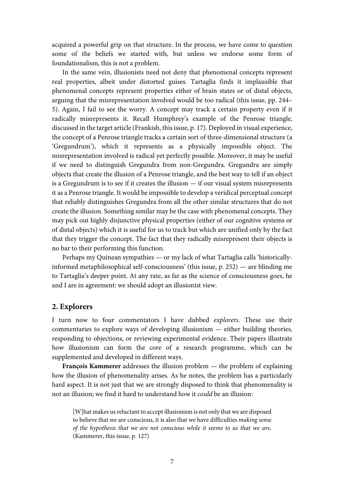acquired a powerful grip on that structure. In the process, we have come to question some of the beliefs we started with, but unless we endorse some form of foundationalism, this is not a problem.

 In the same vein, illusionists need not deny that phenomenal concepts represent real properties, albeit under distorted guises. Tartaglia finds it implausible that phenomenal concepts represent properties either of brain states or of distal objects, arguing that the misrepresentation involved would be too radical (this issue, pp. 244– 5). Again, I fail to see the worry. A concept may track a certain property even if it radically misrepresents it. Recall Humphrey's example of the Penrose triangle, discussed in the target article (Frankish, this issue, p. 17). Deployed in visual experience, the concept of a Penrose triangle tracks a certain sort of three-dimensional structure (a 'Gregundrum'), which it represents as a physically impossible object. The misrepresentation involved is radical yet perfectly possible. Moreover, it may be useful if we need to distinguish Gregundra from non-Gregundra. Gregundra are simply objects that create the illusion of a Penrose triangle, and the best way to tell if an object is a Gregundrum is to see if it creates the illusion — if our visual system misrepresents it as a Penrose triangle. It would be impossible to develop a veridical perceptual concept that reliably distinguishes Gregundra from all the other similar structures that do not create the illusion. Something similar may be the case with phenomenal concepts. They may pick out highly disjunctive physical properties (either of our cognitive systems or of distal objects) which it is useful for us to track but which are unified only by the fact that they trigger the concept. The fact that they radically misrepresent their objects is no bar to their performing this function.

 Perhaps my Quinean sympathies — or my lack of what Tartaglia calls 'historicallyinformed metaphilosophical self-consciousness' (this issue, p. 252) — are blinding me to Tartaglia's deeper point. At any rate, as far as the science of consciousness goes, he and I are in agreement: we should adopt an illusionist view.

#### **2. Explorers**

I turn now to four commentators I have dubbed *explorers*. These use their commentaries to explore ways of developing illusionism — either building theories, responding to objections, or reviewing experimental evidence. Their papers illustrate how illusionism can form the core of a research programme, which can be supplemented and developed in different ways.

 **François Kammerer** addresses the illusion problem — the problem of explaining how the illusion of phenomenality arises. As he notes, the problem has a particularly hard aspect. It is not just that we are strongly disposed to think that phenomenality is not an illusion; we find it hard to understand how it *could* be an illusion:

[W]hat makes us reluctant to accept illusionism is not only that we are disposed to believe that we are conscious, it is also that we have difficulties *making sense of the hypothesis that we are not conscious while it seems to us that we are*. (Kammerer, this issue, p. 127)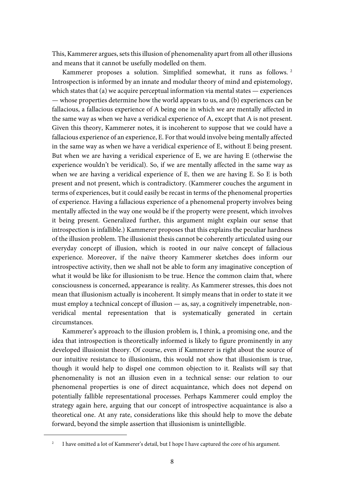This, Kammerer argues, sets this illusion of phenomenality apart from all other illusions and means that it cannot be usefully modelled on them.

 Kammerer proposes a solution. Simplified somewhat, it runs as follows. <sup>2</sup> Introspection is informed by an innate and modular theory of mind and epistemology, which states that (a) we acquire perceptual information via mental states  $-$  experiences — whose properties determine how the world appears to us, and (b) experiences can be fallacious, a fallacious experience of A being one in which we are mentally affected in the same way as when we have a veridical experience of A, except that A is not present. Given this theory, Kammerer notes, it is incoherent to suppose that we could have a fallacious experience of an experience, E. For that would involve being mentally affected in the same way as when we have a veridical experience of E, without E being present. But when we are having a veridical experience of E, we are having E (otherwise the experience wouldn't be veridical). So, if we are mentally affected in the same way as when we are having a veridical experience of E, then we are having E. So E is both present and not present, which is contradictory. (Kammerer couches the argument in terms of experiences, but it could easily be recast in terms of the phenomenal properties of experience. Having a fallacious experience of a phenomenal property involves being mentally affected in the way one would be if the property were present, which involves it being present. Generalized further, this argument might explain our sense that introspection is infallible.) Kammerer proposes that this explains the peculiar hardness of the illusion problem. The illusionist thesis cannot be coherently articulated using our everyday concept of illusion, which is rooted in our naïve concept of fallacious experience. Moreover, if the naïve theory Kammerer sketches does inform our introspective activity, then we shall not be able to form any imaginative conception of what it would be like for illusionism to be true. Hence the common claim that, where consciousness is concerned, appearance is reality. As Kammerer stresses, this does not mean that illusionism actually is incoherent. It simply means that in order to state it we must employ a technical concept of illusion — as, say, a cognitively impenetrable, nonveridical mental representation that is systematically generated in certain circumstances.

 Kammerer's approach to the illusion problem is, I think, a promising one, and the idea that introspection is theoretically informed is likely to figure prominently in any developed illusionist theory. Of course, even if Kammerer is right about the source of our intuitive resistance to illusionism, this would not show that illusionism is true, though it would help to dispel one common objection to it. Realists will say that phenomenality is not an illusion even in a technical sense: our relation to our phenomenal properties is one of direct acquaintance, which does not depend on potentially fallible representational processes. Perhaps Kammerer could employ the strategy again here, arguing that our concept of introspective acquaintance is also a theoretical one. At any rate, considerations like this should help to move the debate forward, beyond the simple assertion that illusionism is unintelligible.

<sup>&</sup>lt;sup>2</sup> I have omitted a lot of Kammerer's detail, but I hope I have captured the core of his argument.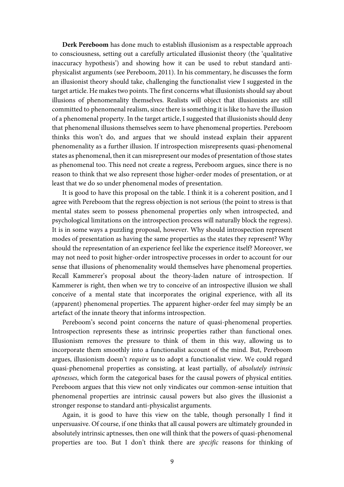**Derk Pereboom** has done much to establish illusionism as a respectable approach to consciousness, setting out a carefully articulated illusionist theory (the 'qualitative inaccuracy hypothesis') and showing how it can be used to rebut standard antiphysicalist arguments (see Pereboom, 2011). In his commentary, he discusses the form an illusionist theory should take, challenging the functionalist view I suggested in the target article. He makes two points. The first concerns what illusionists should say about illusions of phenomenality themselves. Realists will object that illusionists are still committed to phenomenal realism, since there is something it is like to have the illusion of a phenomenal property. In the target article, I suggested that illusionists should deny that phenomenal illusions themselves seem to have phenomenal properties. Pereboom thinks this won't do, and argues that we should instead explain their apparent phenomenality as a further illusion. If introspection misrepresents quasi-phenomenal states as phenomenal, then it can misrepresent our modes of presentation of those states as phenomenal too. This need not create a regress, Pereboom argues, since there is no reason to think that we also represent those higher-order modes of presentation, or at least that we do so under phenomenal modes of presentation.

 It is good to have this proposal on the table. I think it is a coherent position, and I agree with Pereboom that the regress objection is not serious (the point to stress is that mental states seem to possess phenomenal properties only when introspected, and psychological limitations on the introspection process will naturally block the regress). It is in some ways a puzzling proposal, however. Why should introspection represent modes of presentation as having the same properties as the states they represent? Why should the representation of an experience feel like the experience itself? Moreover, we may not need to posit higher-order introspective processes in order to account for our sense that illusions of phenomenality would themselves have phenomenal properties. Recall Kammerer's proposal about the theory-laden nature of introspection. If Kammerer is right, then when we try to conceive of an introspective illusion we shall conceive of a mental state that incorporates the original experience, with all its (apparent) phenomenal properties. The apparent higher-order feel may simply be an artefact of the innate theory that informs introspection.

 Pereboom's second point concerns the nature of quasi-phenomenal properties. Introspection represents these as intrinsic properties rather than functional ones. Illusionism removes the pressure to think of them in this way, allowing us to incorporate them smoothly into a functionalist account of the mind. But, Pereboom argues, illusionism doesn't *require* us to adopt a functionalist view. We could regard quasi-phenomenal properties as consisting, at least partially, of *absolutely intrinsic aptnesses*, which form the categorical bases for the causal powers of physical entities. Pereboom argues that this view not only vindicates our common-sense intuition that phenomenal properties are intrinsic causal powers but also gives the illusionist a stronger response to standard anti-physicalist arguments.

 Again, it is good to have this view on the table, though personally I find it unpersuasive. Of course, if one thinks that all causal powers are ultimately grounded in absolutely intrinsic aptnesses, then one will think that the powers of quasi-phenomenal properties are too. But I don't think there are *specific* reasons for thinking of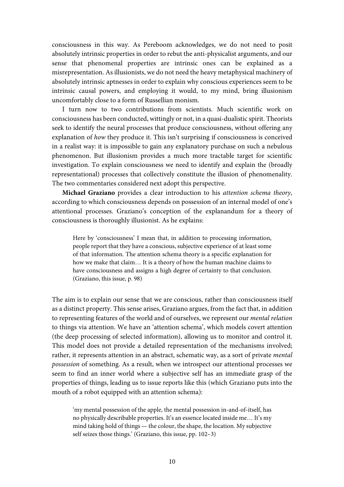consciousness in this way. As Pereboom acknowledges, we do not need to posit absolutely intrinsic properties in order to rebut the anti-physicalist arguments, and our sense that phenomenal properties are intrinsic ones can be explained as a misrepresentation. As illusionists, we do not need the heavy metaphysical machinery of absolutely intrinsic aptnesses in order to explain why conscious experiences seem to be intrinsic causal powers, and employing it would, to my mind, bring illusionism uncomfortably close to a form of Russellian monism.

 I turn now to two contributions from scientists. Much scientific work on consciousness has been conducted, wittingly or not, in a quasi-dualistic spirit. Theorists seek to identify the neural processes that produce consciousness, without offering any explanation of *how* they produce it. This isn't surprising if consciousness is conceived in a realist way: it is impossible to gain any explanatory purchase on such a nebulous phenomenon. But illusionism provides a much more tractable target for scientific investigation. To explain consciousness we need to identify and explain the (broadly representational) processes that collectively constitute the illusion of phenomenality. The two commentaries considered next adopt this perspective.

 **Michael Graziano** provides a clear introduction to his *attention schema theory*, according to which consciousness depends on possession of an internal model of one's attentional processes. Graziano's conception of the explanandum for a theory of consciousness is thoroughly illusionist. As he explains:

Here by 'consciousness' I mean that, in addition to processing information, people report that they have a conscious, subjective experience of at least some of that information. The attention schema theory is a specific explanation for how we make that claim… It is a theory of how the human machine claims to have consciousness and assigns a high degree of certainty to that conclusion. (Graziano, this issue, p. 98)

The aim is to explain our sense that we are conscious, rather than consciousness itself as a distinct property. This sense arises, Graziano argues, from the fact that, in addition to representing features of the world and of ourselves, we represent our *mental relation* to things via attention. We have an 'attention schema', which models covert attention (the deep processing of selected information), allowing us to monitor and control it. This model does not provide a detailed representation of the mechanisms involved; rather, it represents attention in an abstract, schematic way, as a sort of private *mental possession* of something. As a result, when we introspect our attentional processes we seem to find an inner world where a subjective self has an immediate grasp of the properties of things, leading us to issue reports like this (which Graziano puts into the mouth of a robot equipped with an attention schema):

'my mental possession of the apple, the mental possession in-and-of-itself, has no physically describable properties. It's an essence located inside me… It's my mind taking hold of things — the colour, the shape, the location. My subjective self seizes those things.' (Graziano, this issue, pp. 102–3)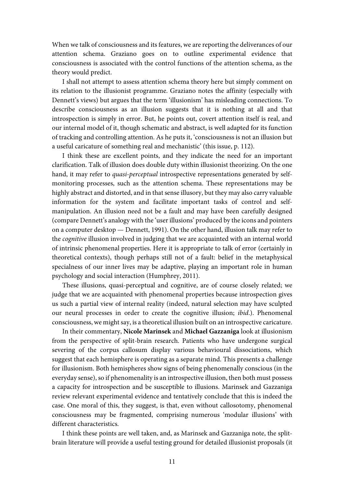When we talk of consciousness and its features, we are reporting the deliverances of our attention schema. Graziano goes on to outline experimental evidence that consciousness is associated with the control functions of the attention schema, as the theory would predict.

 I shall not attempt to assess attention schema theory here but simply comment on its relation to the illusionist programme. Graziano notes the affinity (especially with Dennett's views) but argues that the term 'illusionism' has misleading connections. To describe consciousness as an illusion suggests that it is nothing at all and that introspection is simply in error. But, he points out, covert attention itself is real, and our internal model of it, though schematic and abstract, is well adapted for its function of tracking and controlling attention. As he puts it, 'consciousness is not an illusion but a useful caricature of something real and mechanistic' (this issue, p. 112).

 I think these are excellent points, and they indicate the need for an important clarification. Talk of illusion does double duty within illusionist theorizing. On the one hand, it may refer to *quasi-perceptual* introspective representations generated by selfmonitoring processes, such as the attention schema. These representations may be highly abstract and distorted, and in that sense illusory, but they may also carry valuable information for the system and facilitate important tasks of control and selfmanipulation. An illusion need not be a fault and may have been carefully designed (compare Dennett's analogy with the 'user illusions' produced by the icons and pointers on a computer desktop — Dennett, 1991). On the other hand, illusion talk may refer to the *cognitive* illusion involved in judging that we are acquainted with an internal world of intrinsic phenomenal properties. Here it is appropriate to talk of error (certainly in theoretical contexts), though perhaps still not of a fault: belief in the metaphysical specialness of our inner lives may be adaptive, playing an important role in human psychology and social interaction (Humphrey, 2011).

 These illusions, quasi-perceptual and cognitive, are of course closely related; we judge that we are acquainted with phenomenal properties because introspection gives us such a partial view of internal reality (indeed, natural selection may have sculpted our neural processes in order to create the cognitive illusion; *ibid*.). Phenomenal consciousness, we might say, is a theoretical illusion built on an introspective caricature.

 In their commentary, **Nicole Marinsek** and **Michael Gazzaniga** look at illusionism from the perspective of split-brain research. Patients who have undergone surgical severing of the corpus callosum display various behavioural dissociations, which suggest that each hemisphere is operating as a separate mind. This presents a challenge for illusionism. Both hemispheres show signs of being phenomenally conscious (in the everyday sense), so if phenomenality is an introspective illusion, then both must possess a capacity for introspection and be susceptible to illusions. Marinsek and Gazzaniga review relevant experimental evidence and tentatively conclude that this is indeed the case. One moral of this, they suggest, is that, even without callosotomy, phenomenal consciousness may be fragmented, comprising numerous 'modular illusions' with different characteristics.

 I think these points are well taken, and, as Marinsek and Gazzaniga note, the splitbrain literature will provide a useful testing ground for detailed illusionist proposals (it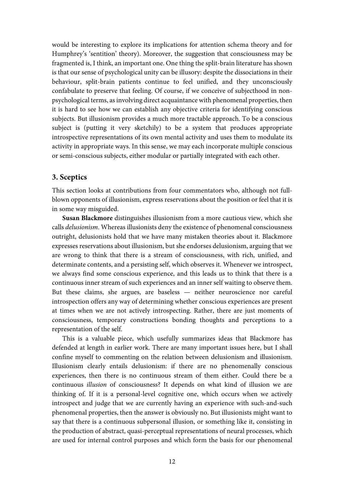would be interesting to explore its implications for attention schema theory and for Humphrey's 'sentition' theory). Moreover, the suggestion that consciousness may be fragmented is, I think, an important one. One thing the split-brain literature has shown is that our sense of psychological unity can be illusory: despite the dissociations in their behaviour, split-brain patients continue to feel unified, and they unconsciously confabulate to preserve that feeling. Of course, if we conceive of subjecthood in nonpsychological terms, as involving direct acquaintance with phenomenal properties, then it is hard to see how we can establish any objective criteria for identifying conscious subjects. But illusionism provides a much more tractable approach. To be a conscious subject is (putting it very sketchily) to be a system that produces appropriate introspective representations of its own mental activity and uses them to modulate its activity in appropriate ways. In this sense, we may each incorporate multiple conscious or semi-conscious subjects, either modular or partially integrated with each other.

## **3. Sceptics**

This section looks at contributions from four commentators who, although not fullblown opponents of illusionism, express reservations about the position or feel that it is in some way misguided.

 **Susan Blackmore** distinguishes illusionism from a more cautious view, which she calls *delusionism*. Whereas illusionists deny the existence of phenomenal consciousness outright, delusionists hold that we have many mistaken theories about it. Blackmore expresses reservations about illusionism, but she endorses delusionism, arguing that we are wrong to think that there is a stream of consciousness, with rich, unified, and determinate contents, and a persisting self, which observes it. Whenever we introspect, we always find some conscious experience, and this leads us to think that there is a continuous inner stream of such experiences and an inner self waiting to observe them. But these claims, she argues, are baseless — neither neuroscience nor careful introspection offers any way of determining whether conscious experiences are present at times when we are not actively introspecting. Rather, there are just moments of consciousness, temporary constructions bonding thoughts and perceptions to a representation of the self.

 This is a valuable piece, which usefully summarizes ideas that Blackmore has defended at length in earlier work. There are many important issues here, but I shall confine myself to commenting on the relation between delusionism and illusionism. Illusionism clearly entails delusionism: if there are no phenomenally conscious experiences, then there is no continuous stream of them either. Could there be a continuous *illusion* of consciousness? It depends on what kind of illusion we are thinking of. If it is a personal-level cognitive one, which occurs when we actively introspect and judge that we are currently having an experience with such-and-such phenomenal properties, then the answer is obviously no. But illusionists might want to say that there is a continuous subpersonal illusion, or something like it, consisting in the production of abstract, quasi-perceptual representations of neural processes, which are used for internal control purposes and which form the basis for our phenomenal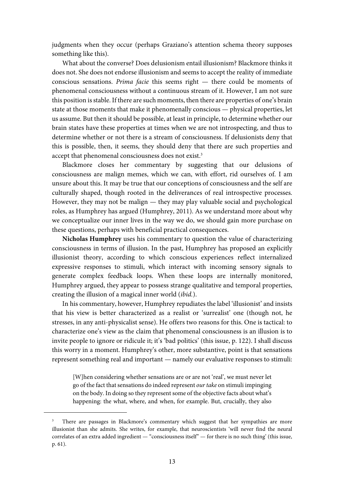judgments when they occur (perhaps Graziano's attention schema theory supposes something like this).

 What about the converse? Does delusionism entail illusionism? Blackmore thinks it does not. She does not endorse illusionism and seems to accept the reality of immediate conscious sensations. *Prima facie* this seems right — there could be moments of phenomenal consciousness without a continuous stream of it. However, I am not sure this position is stable. If there are such moments, then there are properties of one's brain state at those moments that make it phenomenally conscious — physical properties, let us assume. But then it should be possible, at least in principle, to determine whether our brain states have these properties at times when we are not introspecting, and thus to determine whether or not there is a stream of consciousness. If delusionists deny that this is possible, then, it seems, they should deny that there are such properties and accept that phenomenal consciousness does not exist. 3

 Blackmore closes her commentary by suggesting that our delusions of consciousness are malign memes, which we can, with effort, rid ourselves of. I am unsure about this. It may be true that our conceptions of consciousness and the self are culturally shaped, though rooted in the deliverances of real introspective processes. However, they may not be malign — they may play valuable social and psychological roles, as Humphrey has argued (Humphrey, 2011). As we understand more about why we conceptualize our inner lives in the way we do, we should gain more purchase on these questions, perhaps with beneficial practical consequences.

 **Nicholas Humphrey** uses his commentary to question the value of characterizing consciousness in terms of illusion. In the past, Humphrey has proposed an explicitly illusionist theory, according to which conscious experiences reflect internalized expressive responses to stimuli, which interact with incoming sensory signals to generate complex feedback loops. When these loops are internally monitored, Humphrey argued, they appear to possess strange qualitative and temporal properties, creating the illusion of a magical inner world (*ibid.*).

 In his commentary, however, Humphrey repudiates the label 'illusionist' and insists that his view is better characterized as a realist or 'surrealist' one (though not, he stresses, in any anti-physicalist sense). He offers two reasons for this. One is tactical: to characterize one's view as the claim that phenomenal consciousness is an illusion is to invite people to ignore or ridicule it; it's 'bad politics' (this issue, p. 122). I shall discuss this worry in a moment. Humphrey's other, more substantive, point is that sensations represent something real and important — namely our evaluative responses to stimuli:

[W]hen considering whether sensations are or are not 'real', we must never let go of the fact that sensations do indeed represent *our take* on stimuli impinging on the body. In doing so they represent some of the objective facts about what's happening: the what, where, and when, for example. But, crucially, they also

<sup>&</sup>lt;sup>3</sup> There are passages in Blackmore's commentary which suggest that her sympathies are more illusionist than she admits. She writes, for example, that neuroscientists 'will never find the neural correlates of an extra added ingredient — "consciousness itself" — for there is no such thing' (this issue, p. 61).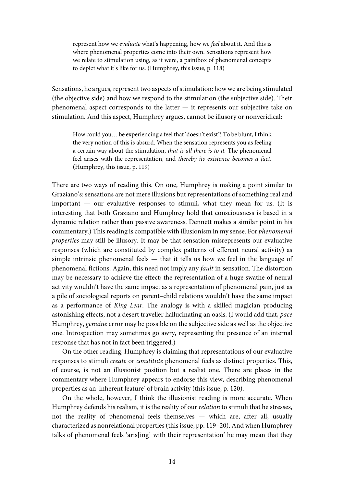represent how we *evaluate* what's happening, how we *feel* about it. And this is where phenomenal properties come into their own. Sensations represent how we relate to stimulation using, as it were, a paintbox of phenomenal concepts to depict what it's like for us. (Humphrey, this issue, p. 118)

Sensations, he argues, represent two aspects of stimulation: how we are being stimulated (the objective side) and how we respond to the stimulation (the subjective side). Their phenomenal aspect corresponds to the latter — it represents our subjective take on stimulation. And this aspect, Humphrey argues, cannot be illusory or nonveridical:

How could you… be experiencing a feel that 'doesn't exist'? To be blunt, I think the very notion of this is absurd. When the sensation represents you as feeling a certain way about the stimulation, *that is all there is to it.* The phenomenal feel arises with the representation, and *thereby its existence becomes a fact*. (Humphrey, this issue, p. 119)

There are two ways of reading this. On one, Humphrey is making a point similar to Graziano's: sensations are not mere illusions but representations of something real and important — our evaluative responses to stimuli, what they mean for us. (It is interesting that both Graziano and Humphrey hold that consciousness is based in a dynamic relation rather than passive awareness. Dennett makes a similar point in his commentary.) This reading is compatible with illusionism in my sense. For *phenomenal properties* may still be illusory. It may be that sensation misrepresents our evaluative responses (which are constituted by complex patterns of efferent neural activity) as simple intrinsic phenomenal feels — that it tells us how we feel in the language of phenomenal fictions. Again, this need not imply any *fault* in sensation. The distortion may be necessary to achieve the effect; the representation of a huge swathe of neural activity wouldn't have the same impact as a representation of phenomenal pain, just as a pile of sociological reports on parent–child relations wouldn't have the same impact as a performance of *King Lear*. The analogy is with a skilled magician producing astonishing effects, not a desert traveller hallucinating an oasis. (I would add that, *pace* Humphrey, *genuine* error may be possible on the subjective side as well as the objective one. Introspection may sometimes go awry, representing the presence of an internal response that has not in fact been triggered.)

 On the other reading, Humphrey is claiming that representations of our evaluative responses to stimuli *create* or *constitute* phenomenal feels as distinct properties. This, of course, is not an illusionist position but a realist one. There are places in the commentary where Humphrey appears to endorse this view, describing phenomenal properties as an 'inherent feature' of brain activity (this issue, p. 120).

 On the whole, however, I think the illusionist reading is more accurate. When Humphrey defends his realism, it is the reality of our *relation* to stimuli that he stresses, not the reality of phenomenal feels themselves — which are, after all, usually characterized as nonrelational properties (this issue, pp. 119–20). And when Humphrey talks of phenomenal feels 'aris[ing] with their representation' he may mean that they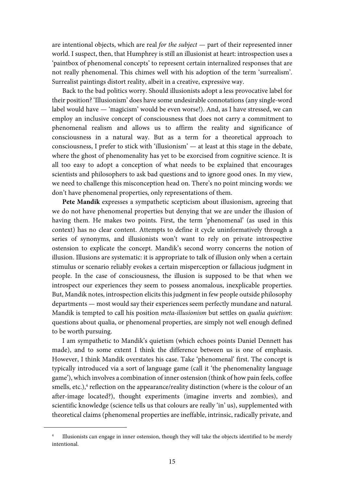are intentional objects, which are real *for the subject* — part of their represented inner world. I suspect, then, that Humphrey is still an illusionist at heart: introspection uses a 'paintbox of phenomenal concepts' to represent certain internalized responses that are not really phenomenal. This chimes well with his adoption of the term 'surrealism'. Surrealist paintings distort reality, albeit in a creative, expressive way.

 Back to the bad politics worry. Should illusionists adopt a less provocative label for their position? 'Illusionism' does have some undesirable connotations (any single-word label would have — 'magicism' would be even worse!). And, as I have stressed, we can employ an inclusive concept of consciousness that does not carry a commitment to phenomenal realism and allows us to affirm the reality and significance of consciousness in a natural way. But as a term for a theoretical approach to consciousness, I prefer to stick with 'illusionism' — at least at this stage in the debate, where the ghost of phenomenality has yet to be exorcised from cognitive science. It is all too easy to adopt a conception of what needs to be explained that encourages scientists and philosophers to ask bad questions and to ignore good ones. In my view, we need to challenge this misconception head on. There's no point mincing words: we don't have phenomenal properties, only representations of them.

 **Pete Mandik** expresses a sympathetic scepticism about illusionism, agreeing that we do not have phenomenal properties but denying that we are under the illusion of having them. He makes two points. First, the term 'phenomenal' (as used in this context) has no clear content. Attempts to define it cycle uninformatively through a series of synonyms, and illusionists won't want to rely on private introspective ostension to explicate the concept. Mandik's second worry concerns the notion of illusion. Illusions are systematic: it is appropriate to talk of illusion only when a certain stimulus or scenario reliably evokes a certain misperception or fallacious judgment in people. In the case of consciousness, the illusion is supposed to be that when we introspect our experiences they seem to possess anomalous, inexplicable properties. But, Mandik notes, introspection elicits this judgment in few people outside philosophy departments — most would say their experiences seem perfectly mundane and natural. Mandik is tempted to call his position *meta-illusionism* but settles on *qualia quietism*: questions about qualia, or phenomenal properties, are simply not well enough defined to be worth pursuing.

 I am sympathetic to Mandik's quietism (which echoes points Daniel Dennett has made), and to some extent I think the difference between us is one of emphasis. However, I think Mandik overstates his case. Take 'phenomenal' first. The concept is typically introduced via a sort of language game (call it 'the phenomenality language game'), which involves a combination of inner ostension (think of how pain feels, coffee smells, etc.),<sup>4</sup> reflection on the appearance/reality distinction (where is the colour of an after-image located?), thought experiments (imagine inverts and zombies), and scientific knowledge (science tells us that colours are really 'in' us), supplemented with theoretical claims (phenomenal properties are ineffable, intrinsic, radically private, and

<sup>&</sup>lt;sup>4</sup> Illusionists can engage in inner ostension, though they will take the objects identified to be merely intentional.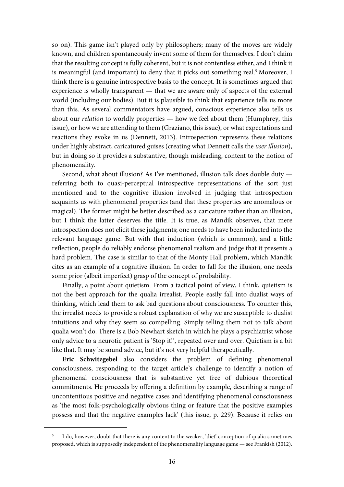so on). This game isn't played only by philosophers; many of the moves are widely known, and children spontaneously invent some of them for themselves. I don't claim that the resulting concept is fully coherent, but it is not contentless either, and I think it is meaningful (and important) to deny that it picks out something real.<sup>5</sup> Moreover, I think there is a genuine introspective basis to the concept. It is sometimes argued that experience is wholly transparent — that we are aware only of aspects of the external world (including our bodies). But it is plausible to think that experience tells us more than this. As several commentators have argued, conscious experience also tells us about our *relation* to worldly properties — how we feel about them (Humphrey, this issue), or how we are attending to them (Graziano, this issue), or what expectations and reactions they evoke in us (Dennett, 2013). Introspection represents these relations under highly abstract, caricatured guises (creating what Dennett calls the *user illusion*), but in doing so it provides a substantive, though misleading, content to the notion of phenomenality.

 Second, what about illusion? As I've mentioned, illusion talk does double duty referring both to quasi-perceptual introspective representations of the sort just mentioned and to the cognitive illusion involved in judging that introspection acquaints us with phenomenal properties (and that these properties are anomalous or magical). The former might be better described as a caricature rather than an illusion, but I think the latter deserves the title. It is true, as Mandik observes, that mere introspection does not elicit these judgments; one needs to have been inducted into the relevant language game. But with that induction (which is common), and a little reflection, people do reliably endorse phenomenal realism and judge that it presents a hard problem. The case is similar to that of the Monty Hall problem, which Mandik cites as an example of a cognitive illusion. In order to fall for the illusion, one needs some prior (albeit imperfect) grasp of the concept of probability.

 Finally, a point about quietism. From a tactical point of view, I think, quietism is not the best approach for the qualia irrealist. People easily fall into dualist ways of thinking, which lead them to ask bad questions about consciousness. To counter this, the irrealist needs to provide a robust explanation of why we are susceptible to dualist intuitions and why they seem so compelling. Simply telling them not to talk about qualia won't do. There is a Bob Newhart sketch in which he plays a psychiatrist whose only advice to a neurotic patient is 'Stop it!', repeated over and over. Quietism is a bit like that. It may be sound advice, but it's not very helpful therapeutically.

 **Eric Schwitzgebel** also considers the problem of defining phenomenal consciousness, responding to the target article's challenge to identify a notion of phenomenal consciousness that is substantive yet free of dubious theoretical commitments. He proceeds by offering a definition by example, describing a range of uncontentious positive and negative cases and identifying phenomenal consciousness as 'the most folk-psychologically obvious thing or feature that the positive examples possess and that the negative examples lack' (this issue, p. 229). Because it relies on

 $5$  I do, however, doubt that there is any content to the weaker, 'diet' conception of qualia sometimes proposed, which is supposedly independent of the phenomenality language game — see Frankish (2012).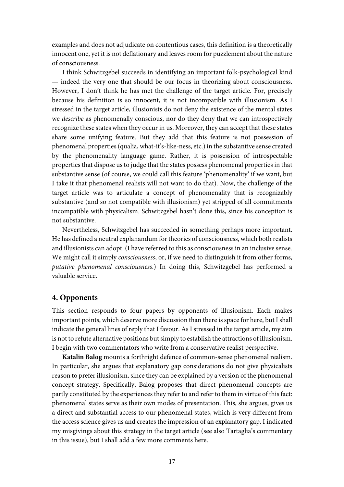examples and does not adjudicate on contentious cases, this definition is a theoretically innocent one, yet it is not deflationary and leaves room for puzzlement about the nature of consciousness.

 I think Schwitzgebel succeeds in identifying an important folk-psychological kind — indeed the very one that should be our focus in theorizing about consciousness. However, I don't think he has met the challenge of the target article. For, precisely because his definition is so innocent, it is not incompatible with illusionism. As I stressed in the target article, illusionists do not deny the existence of the mental states we *describe* as phenomenally conscious, nor do they deny that we can introspectively recognize these states when they occur in us. Moreover, they can accept that these states share some unifying feature. But they add that this feature is not possession of phenomenal properties (qualia, what-it's-like-ness, etc.) in the substantive sense created by the phenomenality language game. Rather, it is possession of introspectable properties that dispose us to judge that the states possess phenomenal properties in that substantive sense (of course, we could call this feature 'phenomenality' if we want, but I take it that phenomenal realists will not want to do that). Now, the challenge of the target article was to articulate a concept of phenomenality that is recognizably substantive (and so not compatible with illusionism) yet stripped of all commitments incompatible with physicalism. Schwitzgebel hasn't done this, since his conception is not substantive.

 Nevertheless, Schwitzgebel has succeeded in something perhaps more important. He has defined a neutral explanandum for theories of consciousness, which both realists and illusionists can adopt. (I have referred to this as consciousness in an inclusive sense. We might call it simply *consciousness*, or, if we need to distinguish it from other forms, *putative phenomenal consciousness*.) In doing this, Schwitzgebel has performed a valuable service.

## **4. Opponents**

This section responds to four papers by opponents of illusionism. Each makes important points, which deserve more discussion than there is space for here, but I shall indicate the general lines of reply that I favour. As I stressed in the target article, my aim is not to refute alternative positions but simply to establish the attractions of illusionism. I begin with two commentators who write from a conservative realist perspective.

 **Katalin Balog** mounts a forthright defence of common-sense phenomenal realism. In particular, she argues that explanatory gap considerations do not give physicalists reason to prefer illusionism, since they can be explained by a version of the phenomenal concept strategy. Specifically, Balog proposes that direct phenomenal concepts are partly constituted by the experiences they refer to and refer to them in virtue of this fact: phenomenal states serve as their own modes of presentation. This, she argues, gives us a direct and substantial access to our phenomenal states, which is very different from the access science gives us and creates the impression of an explanatory gap. I indicated my misgivings about this strategy in the target article (see also Tartaglia's commentary in this issue), but I shall add a few more comments here.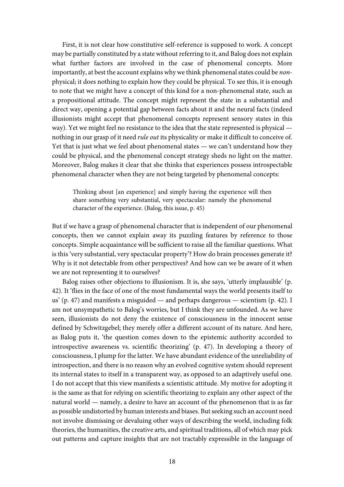First, it is not clear how constitutive self-reference is supposed to work. A concept may be partially constituted by a state without referring to it, and Balog does not explain what further factors are involved in the case of phenomenal concepts. More importantly, at best the account explains why we think phenomenal states could be *non*physical; it does nothing to explain how they could be physical. To see this, it is enough to note that we might have a concept of this kind for a non-phenomenal state, such as a propositional attitude. The concept might represent the state in a substantial and direct way, opening a potential gap between facts about it and the neural facts (indeed illusionists might accept that phenomenal concepts represent sensory states in this way). Yet we might feel no resistance to the idea that the state represented is physical nothing in our grasp of it need *rule out* its physicality or make it difficult to conceive of. Yet that is just what we feel about phenomenal states — we can't understand how they could be physical, and the phenomenal concept strategy sheds no light on the matter. Moreover, Balog makes it clear that she thinks that experiences possess introspectable phenomenal character when they are not being targeted by phenomenal concepts:

Thinking about [an experience] and simply having the experience will then share something very substantial, very spectacular: namely the phenomenal character of the experience. (Balog, this issue, p. 45)

But if we have a grasp of phenomenal character that is independent of our phenomenal concepts, then we cannot explain away its puzzling features by reference to those concepts. Simple acquaintance will be sufficient to raise all the familiar questions. What is this 'very substantial, very spectacular property'? How do brain processes generate it? Why is it not detectable from other perspectives? And how can we be aware of it when we are not representing it to ourselves?

 Balog raises other objections to illusionism. It is, she says, 'utterly implausible' (p. 42). It 'flies in the face of one of the most fundamental ways the world presents itself to us' (p. 47) and manifests a misguided — and perhaps dangerous — scientism (p. 42). I am not unsympathetic to Balog's worries, but I think they are unfounded. As we have seen, illusionists do not deny the existence of consciousness in the innocent sense defined by Schwitzgebel; they merely offer a different account of its nature. And here, as Balog puts it, 'the question comes down to the epistemic authority accorded to introspective awareness vs. scientific theorizing' (p. 47). In developing a theory of consciousness, I plump for the latter. We have abundant evidence of the unreliability of introspection, and there is no reason why an evolved cognitive system should represent its internal states to itself in a transparent way, as opposed to an adaptively useful one. I do not accept that this view manifests a scientistic attitude. My motive for adopting it is the same as that for relying on scientific theorizing to explain any other aspect of the natural world — namely, a desire to have an account of the phenomenon that is as far as possible undistorted by human interests and biases. But seeking such an account need not involve dismissing or devaluing other ways of describing the world, including folk theories, the humanities, the creative arts, and spiritual traditions, all of which may pick out patterns and capture insights that are not tractably expressible in the language of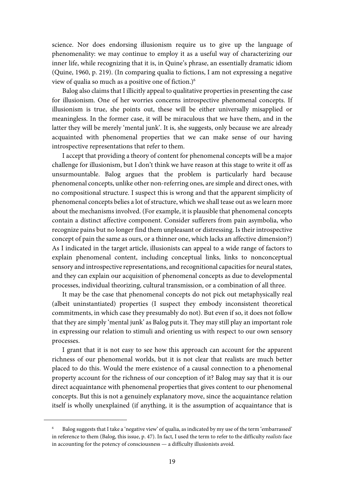science. Nor does endorsing illusionism require us to give up the language of phenomenality: we may continue to employ it as a useful way of characterizing our inner life, while recognizing that it is, in Quine's phrase, an essentially dramatic idiom (Quine, 1960, p. 219). (In comparing qualia to fictions, I am not expressing a negative view of qualia so much as a positive one of fiction.)<sup>6</sup>

 Balog also claims that I illicitly appeal to qualitative properties in presenting the case for illusionism. One of her worries concerns introspective phenomenal concepts. If illusionism is true, she points out, these will be either universally misapplied or meaningless. In the former case, it will be miraculous that we have them, and in the latter they will be merely 'mental junk'. It is, she suggests, only because we are already acquainted with phenomenal properties that we can make sense of our having introspective representations that refer to them.

 I accept that providing a theory of content for phenomenal concepts will be a major challenge for illusionism, but I don't think we have reason at this stage to write it off as unsurmountable. Balog argues that the problem is particularly hard because phenomenal concepts, unlike other non-referring ones, are simple and direct ones, with no compositional structure. I suspect this is wrong and that the apparent simplicity of phenomenal concepts belies a lot of structure, which we shall tease out as we learn more about the mechanisms involved. (For example, it is plausible that phenomenal concepts contain a distinct affective component. Consider sufferers from pain asymbolia, who recognize pains but no longer find them unpleasant or distressing. Is their introspective concept of pain the same as ours, or a thinner one, which lacks an affective dimension?) As I indicated in the target article, illusionists can appeal to a wide range of factors to explain phenomenal content, including conceptual links, links to nonconceptual sensory and introspective representations, and recognitional capacities for neural states, and they can explain our acquisition of phenomenal concepts as due to developmental processes, individual theorizing, cultural transmission, or a combination of all three.

 It may be the case that phenomenal concepts do not pick out metaphysically real (albeit uninstantiated) properties (I suspect they embody inconsistent theoretical commitments, in which case they presumably do not). But even if so, it does not follow that they are simply 'mental junk' as Balog puts it. They may still play an important role in expressing our relation to stimuli and orienting us with respect to our own sensory processes.

 I grant that it is not easy to see how this approach can account for the apparent richness of our phenomenal worlds, but it is not clear that realists are much better placed to do this. Would the mere existence of a causal connection to a phenomenal property account for the richness of our conception of it? Balog may say that it is our direct acquaintance with phenomenal properties that gives content to our phenomenal concepts. But this is not a genuinely explanatory move, since the acquaintance relation itself is wholly unexplained (if anything, it is the assumption of acquaintance that is

<sup>6</sup>Balog suggests that I take a 'negative view' of qualia, as indicated by my use of the term 'embarrassed' in reference to them (Balog, this issue, p. 47). In fact, I used the term to refer to the difficulty *realists* face in accounting for the potency of consciousness — a difficulty illusionists avoid.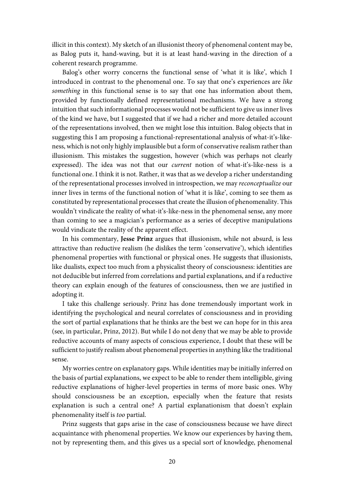illicit in this context). My sketch of an illusionist theory of phenomenal content may be, as Balog puts it, hand-waving, but it is at least hand-waving in the direction of a coherent research programme.

 Balog's other worry concerns the functional sense of 'what it is like', which I introduced in contrast to the phenomenal one. To say that one's experiences are *like something* in this functional sense is to say that one has information about them, provided by functionally defined representational mechanisms. We have a strong intuition that such informational processes would not be sufficient to give us inner lives of the kind we have, but I suggested that if we had a richer and more detailed account of the representations involved, then we might lose this intuition. Balog objects that in suggesting this I am proposing a functional-representational analysis of what-it's-likeness, which is not only highly implausible but a form of conservative realism rather than illusionism. This mistakes the suggestion, however (which was perhaps not clearly expressed). The idea was not that our *current* notion of what-it's-like-ness is a functional one. I think it is not. Rather, it was that as we develop a richer understanding of the representational processes involved in introspection, we may *reconceptualize* our inner lives in terms of the functional notion of 'what it is like', coming to see them as constituted by representational processes that create the illusion of phenomenality. This wouldn't vindicate the reality of what-it's-like-ness in the phenomenal sense, any more than coming to see a magician's performance as a series of deceptive manipulations would vindicate the reality of the apparent effect.

 In his commentary, **Jesse Prinz** argues that illusionism, while not absurd, is less attractive than reductive realism (he dislikes the term 'conservative'), which identifies phenomenal properties with functional or physical ones. He suggests that illusionists, like dualists, expect too much from a physicalist theory of consciousness: identities are not deducible but inferred from correlations and partial explanations, and if a reductive theory can explain enough of the features of consciousness, then we are justified in adopting it.

 I take this challenge seriously. Prinz has done tremendously important work in identifying the psychological and neural correlates of consciousness and in providing the sort of partial explanations that he thinks are the best we can hope for in this area (see, in particular, Prinz, 2012). But while I do not deny that we may be able to provide reductive accounts of many aspects of conscious experience, I doubt that these will be sufficient to justify realism about phenomenal properties in anything like the traditional sense.

 My worries centre on explanatory gaps. While identities may be initially inferred on the basis of partial explanations, we expect to be able to render them intelligible, giving reductive explanations of higher-level properties in terms of more basic ones. Why should consciousness be an exception, especially when the feature that resists explanation is such a central one? A partial explanationism that doesn't explain phenomenality itself is *too* partial.

 Prinz suggests that gaps arise in the case of consciousness because we have direct acquaintance with phenomenal properties. We know our experiences by having them, not by representing them, and this gives us a special sort of knowledge, phenomenal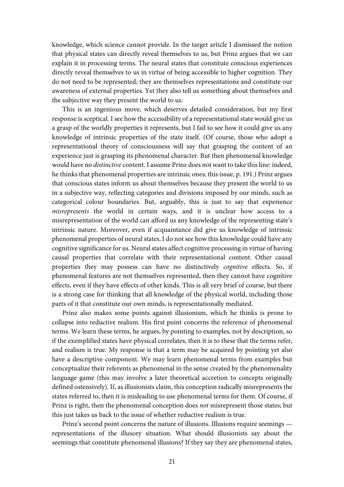knowledge, which science cannot provide. In the target article I dismissed the notion that physical states can directly reveal themselves to us, but Prinz argues that we can explain it in processing terms. The neural states that constitute conscious experiences directly reveal themselves to us in virtue of being accessible to higher cognition. They do not need to be represented; they are themselves representations and constitute our awareness of external properties. Yet they also tell us something about themselves and the subjective way they present the world to us.

 This is an ingenious move, which deserves detailed consideration, but my first response is sceptical. I see how the accessibility of a representational state would give us a grasp of the worldly properties it represents, but I fail to see how it could give us any knowledge of intrinsic properties of the state itself. (Of course, those who adopt a representational theory of consciousness will say that grasping the content of an experience just is grasping its phenomenal character. But then phenomenal knowledge would have no *distinctive* content. I assume Prinz does not want to take this line: indeed, he thinks that phenomenal properties are intrinsic ones; this issue, p. 191.) Prinz argues that conscious states inform us about themselves because they present the world to us in a subjective way, reflecting categories and divisions imposed by our minds, such as categorical colour boundaries. But, arguably, this is just to say that experience *misrepresents* the world in certain ways, and it is unclear how access to a misrepresentation of the world can afford us any knowledge of the representing state's intrinsic nature. Moreover, even if acquaintance did give us knowledge of intrinsic phenomenal properties of neural states, I do not see how this knowledge could have any cognitive significance for us. Neural states affect cognitive processing in virtue of having causal properties that correlate with their representational content. Other causal properties they may possess can have no distinctively *cognitive* effects. So, if phenomenal features are not themselves represented, then they cannot have cognitive effects, even if they have effects of other kinds. This is all very brief of course, but there is a strong case for thinking that all knowledge of the physical world, including those parts of it that constitute our own minds, is representationally mediated.

 Prinz also makes some points against illusionism, which he thinks is prone to collapse into reductive realism. His first point concerns the reference of phenomenal terms. We learn these terms, he argues, by pointing to examples, not by description, so if the exemplified states have physical correlates, then it is to these that the terms refer, and realism is true. My response is that a term may be acquired by pointing yet also have a descriptive component. We may learn phenomenal terms from examples but conceptualize their referents as phenomenal in the sense created by the phenomenality language game (this may involve a later theoretical accretion to concepts originally defined ostensively). If, as illusionists claim, this conception radically misrepresents the states referred to, then it is misleading to use phenomenal terms for them. Of course, if Prinz is right, then the phenomenal conception does *not* misrepresent those states; but this just takes us back to the issue of whether reductive realism is true.

 Prinz's second point concerns the nature of illusions. Illusions require seemings representations of the illusory situation. What should illusionists say about the seemings that constitute phenomenal illusions? If they say they are phenomenal states,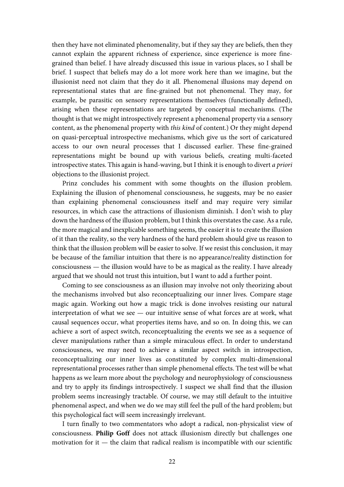then they have not eliminated phenomenality, but if they say they are beliefs, then they cannot explain the apparent richness of experience, since experience is more finegrained than belief. I have already discussed this issue in various places, so I shall be brief. I suspect that beliefs may do a lot more work here than we imagine, but the illusionist need not claim that they do it all. Phenomenal illusions may depend on representational states that are fine-grained but not phenomenal. They may, for example, be parasitic on sensory representations themselves (functionally defined), arising when these representations are targeted by conceptual mechanisms. (The thought is that we might introspectively represent a phenomenal property via a sensory content, as the phenomenal property with *this kind* of content.) Or they might depend on quasi-perceptual introspective mechanisms, which give us the sort of caricatured access to our own neural processes that I discussed earlier. These fine-grained representations might be bound up with various beliefs, creating multi-faceted introspective states. This again is hand-waving, but I think it is enough to divert *a priori* objections to the illusionist project.

 Prinz concludes his comment with some thoughts on the illusion problem. Explaining the illusion of phenomenal consciousness, he suggests, may be no easier than explaining phenomenal consciousness itself and may require very similar resources, in which case the attractions of illusionism diminish. I don't wish to play down the hardness of the illusion problem, but I think this overstates the case. As a rule, the more magical and inexplicable something seems, the easier it is to create the illusion of it than the reality, so the very hardness of the hard problem should give us reason to think that the illusion problem will be easier to solve. If we resist this conclusion, it may be because of the familiar intuition that there is no appearance/reality distinction for consciousness — the illusion would have to be as magical as the reality. I have already argued that we should not trust this intuition, but I want to add a further point.

 Coming to see consciousness as an illusion may involve not only theorizing about the mechanisms involved but also reconceptualizing our inner lives. Compare stage magic again. Working out how a magic trick is done involves resisting our natural interpretation of what we see — our intuitive sense of what forces are at work, what causal sequences occur, what properties items have, and so on. In doing this, we can achieve a sort of aspect switch, reconceptualizing the events we see as a sequence of clever manipulations rather than a simple miraculous effect. In order to understand consciousness, we may need to achieve a similar aspect switch in introspection, reconceptualizing our inner lives as constituted by complex multi-dimensional representational processes rather than simple phenomenal effects. The test will be what happens as we learn more about the psychology and neurophysiology of consciousness and try to apply its findings introspectively. I suspect we shall find that the illusion problem seems increasingly tractable. Of course, we may still default to the intuitive phenomenal aspect, and when we do we may still feel the pull of the hard problem; but this psychological fact will seem increasingly irrelevant.

 I turn finally to two commentators who adopt a radical, non-physicalist view of consciousness. **Philip Goff** does not attack illusionism directly but challenges one motivation for it  $-$  the claim that radical realism is incompatible with our scientific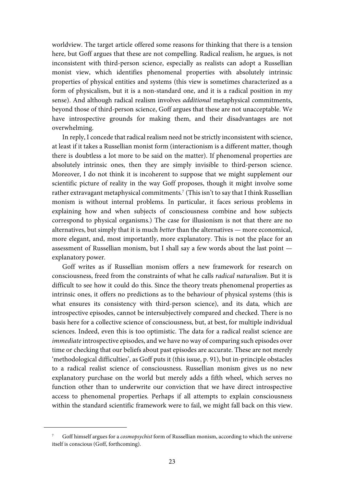worldview. The target article offered some reasons for thinking that there is a tension here, but Goff argues that these are not compelling. Radical realism, he argues, is not inconsistent with third-person science, especially as realists can adopt a Russellian monist view, which identifies phenomenal properties with absolutely intrinsic properties of physical entities and systems (this view is sometimes characterized as a form of physicalism, but it is a non-standard one, and it is a radical position in my sense). And although radical realism involves *additional* metaphysical commitments, beyond those of third-person science, Goff argues that these are not unacceptable. We have introspective grounds for making them, and their disadvantages are not overwhelming.

 In reply, I concede that radical realism need not be strictly inconsistent with science, at least if it takes a Russellian monist form (interactionism is a different matter, though there is doubtless a lot more to be said on the matter). If phenomenal properties are absolutely intrinsic ones, then they are simply invisible to third-person science. Moreover, I do not think it is incoherent to suppose that we might supplement our scientific picture of reality in the way Goff proposes, though it might involve some rather extravagant metaphysical commitments.<sup>7</sup> (This isn't to say that I think Russellian monism is without internal problems. In particular, it faces serious problems in explaining how and when subjects of consciousness combine and how subjects correspond to physical organisms.) The case for illusionism is not that there are no alternatives, but simply that it is much *better* than the alternatives — more economical, more elegant, and, most importantly, more explanatory. This is not the place for an assessment of Russellian monism, but I shall say a few words about the last point explanatory power.

 Goff writes as if Russellian monism offers a new framework for research on consciousness, freed from the constraints of what he calls *radical naturalism*. But it is difficult to see how it could do this. Since the theory treats phenomenal properties as intrinsic ones, it offers no predictions as to the behaviour of physical systems (this is what ensures its consistency with third-person science), and its data, which are introspective episodes, cannot be intersubjectively compared and checked. There is no basis here for a collective science of consciousness, but, at best, for multiple individual sciences. Indeed, even this is too optimistic. The data for a radical realist science are *immediate* introspective episodes, and we have no way of comparing such episodes over time or checking that our beliefs about past episodes are accurate. These are not merely 'methodological difficulties', as Goff puts it (this issue, p. 91), but in-principle obstacles to a radical realist science of consciousness. Russellian monism gives us no new explanatory purchase on the world but merely adds a fifth wheel, which serves no function other than to underwrite our conviction that we have direct introspective access to phenomenal properties. Perhaps if all attempts to explain consciousness within the standard scientific framework were to fail, we might fall back on this view.

<sup>7</sup>Goff himself argues for a *cosmopsychist* form of Russellian monism, according to which the universe itself is conscious (Goff, forthcoming).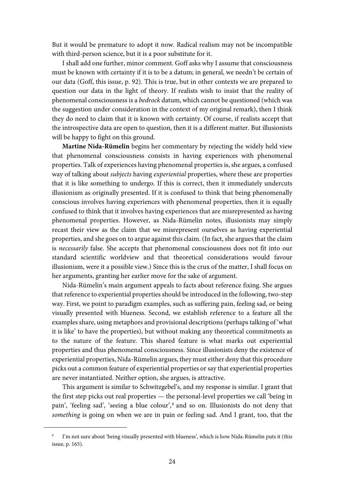But it would be premature to adopt it now. Radical realism may not be incompatible with third-person science, but it is a poor substitute for it.

 I shall add one further, minor comment. Goff asks why I assume that consciousness must be known with certainty if it is to be a datum; in general, we needn't be certain of our data (Goff, this issue, p. 92). This is true, but in other contexts we are prepared to question our data in the light of theory. If realists wish to insist that the reality of phenomenal consciousness is a *bedrock* datum, which cannot be questioned (which was the suggestion under consideration in the context of my original remark), then I think they do need to claim that it is known with certainty. Of course, if realists accept that the introspective data are open to question, then it is a different matter. But illusionists will be happy to fight on this ground.

 **Martine Nida-Rümelin** begins her commentary by rejecting the widely held view that phenomenal consciousness consists in having experiences with phenomenal properties. Talk of experiences having phenomenal properties is, she argues, a confused way of talking about *subjects* having *experiential* properties, where these are properties that it is like something to undergo. If this is correct, then it immediately undercuts illusionism as originally presented. If it is confused to think that being phenomenally conscious involves having experiences with phenomenal properties, then it is equally confused to think that it involves having experiences that are misrepresented as having phenomenal properties. However, as Nida-Rümelin notes, illusionists may simply recast their view as the claim that we misrepresent ourselves as having experiential properties, and she goes on to argue against this claim. (In fact, she argues that the claim is *necessarily* false. She accepts that phenomenal consciousness does not fit into our standard scientific worldview and that theoretical considerations would favour illusionism, were it a possible view.) Since this is the crux of the matter, I shall focus on her arguments, granting her earlier move for the sake of argument.

 Nida-Rümelin's main argument appeals to facts about reference fixing. She argues that reference to experiential properties should be introduced in the following, two-step way. First, we point to paradigm examples, such as suffering pain, feeling sad, or being visually presented with blueness. Second, we establish reference to a feature all the examples share, using metaphors and provisional descriptions (perhaps talking of 'what it is like' to have the properties), but without making any theoretical commitments as to the nature of the feature. This shared feature is what marks out experiential properties and thus phenomenal consciousness. Since illusionists deny the existence of experiential properties, Nida-Rümelin argues, they must either deny that this procedure picks out a common feature of experiential properties or say that experiential properties are never instantiated. Neither option, she argues, is attractive.

 This argument is similar to Schwitzgebel's, and my response is similar. I grant that the first step picks out real properties — the personal-level properties we call 'being in pain', 'feeling sad', 'seeing a blue colour',<sup>8</sup> and so on. Illusionists do not deny that *something* is going on when we are in pain or feeling sad. And I grant, too, that the

<sup>&</sup>lt;sup>8</sup> I'm not sure about 'being visually presented with blueness', which is how Nida-Rümelin puts it (this issue, p. 165).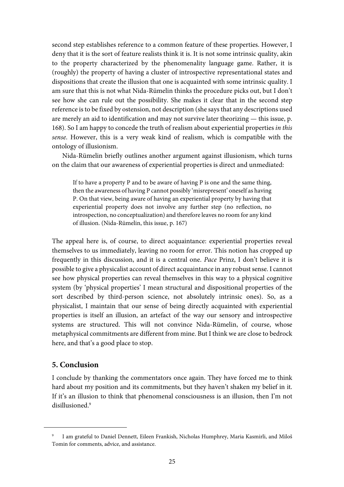second step establishes reference to a common feature of these properties. However, I deny that it is the sort of feature realists think it is. It is not some intrinsic quality, akin to the property characterized by the phenomenality language game. Rather, it is (roughly) the property of having a cluster of introspective representational states and dispositions that create the illusion that one is acquainted with some intrinsic quality. I am sure that this is not what Nida-Rümelin thinks the procedure picks out, but I don't see how she can rule out the possibility. She makes it clear that in the second step reference is to be fixed by ostension, not description (she says that any descriptions used are merely an aid to identification and may not survive later theorizing — this issue, p. 168). So I am happy to concede the truth of realism about experiential properties *in this sense*. However, this is a very weak kind of realism, which is compatible with the ontology of illusionism.

 Nida-Rümelin briefly outlines another argument against illusionism, which turns on the claim that our awareness of experiential properties is direct and unmediated:

If to have a property P and to be aware of having P is one and the same thing, then the awareness of having P cannot possibly 'misrepresent' oneself as having P. On that view, being aware of having an experiential property by having that experiential property does not involve any further step (no reflection, no introspection, no conceptualization) and therefore leaves no room for any kind of illusion. (Nida-Rümelin, this issue, p. 167)

The appeal here is, of course, to direct acquaintance: experiential properties reveal themselves to us immediately, leaving no room for error. This notion has cropped up frequently in this discussion, and it is a central one. *Pace* Prinz, I don't believe it is possible to give a physicalist account of direct acquaintance in any robust sense. I cannot see how physical properties can reveal themselves in this way to a physical cognitive system (by 'physical properties' I mean structural and dispositional properties of the sort described by third-person science, not absolutely intrinsic ones). So, as a physicalist, I maintain that our sense of being directly acquainted with experiential properties is itself an illusion, an artefact of the way our sensory and introspective systems are structured. This will not convince Nida-Rümelin, of course, whose metaphysical commitments are different from mine. But I think we are close to bedrock here, and that's a good place to stop.

# **5. Conclusion**

-

I conclude by thanking the commentators once again. They have forced me to think hard about my position and its commitments, but they haven't shaken my belief in it. If it's an illusion to think that phenomenal consciousness is an illusion, then I'm not disillusioned.<sup>9</sup>

<sup>&</sup>lt;sup>9</sup> I am grateful to Daniel Dennett, Eileen Frankish, Nicholas Humphrey, Maria Kasmirli, and Miloš Tomin for comments, advice, and assistance.